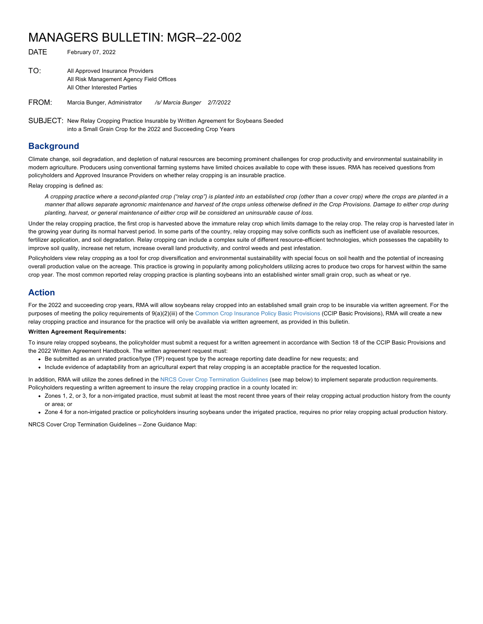## MANAGERS BULLETIN: MGR–22-002

| TO: | All Approved Insurance Providers<br>All Risk Management Agency Field Offices<br>All Other Interested Parties |  |
|-----|--------------------------------------------------------------------------------------------------------------|--|
|     |                                                                                                              |  |

FROM: Marcia Bunger, Administrator */s/ Marcia Bunger 2/7/2022*

SUBJECT: New Relay Cropping Practice Insurable by Written Agreement for Soybeans Seeded into a Small Grain Crop for the 2022 and Succeeding Crop Years

## **Background**

Climate change, soil degradation, and depletion of natural resources are becoming prominent challenges for crop productivity and environmental sustainability in modern agriculture. Producers using conventional farming systems have limited choices available to cope with these issues. RMA has received questions from policyholders and Approved Insurance Providers on whether relay cropping is an insurable practice.

Relay cropping is defined as:

DATE February 07, 2022

*A cropping practice where a second-planted crop ("relay crop") is planted into an established crop (other than a cover crop) where the crops are planted in a manner that allows separate agronomic maintenance and harvest of the crops unless otherwise defined in the Crop Provisions. Damage to either crop during planting, harvest, or general maintenance of either crop will be considered an uninsurable cause of loss.*

Under the relay cropping practice, the first crop is harvested above the immature relay crop which limits damage to the relay crop. The relay crop is harvested later in the growing year during its normal harvest period. In some parts of the country, relay cropping may solve conflicts such as inefficient use of available resources, fertilizer application, and soil degradation. Relay cropping can include a complex suite of different resource-efficient technologies, which possesses the capability to improve soil quality, increase net return, increase overall land productivity, and control weeds and pest infestation.

Policyholders view relay cropping as a tool for crop diversification and environmental sustainability with special focus on soil health and the potential of increasing overall production value on the acreage. This practice is growing in popularity among policyholders utilizing acres to produce two crops for harvest within the same crop year. The most common reported relay cropping practice is planting soybeans into an established winter small grain crop, such as wheat or rye.

## **Action**

For the 2022 and succeeding crop years, RMA will allow soybeans relay cropped into an established small grain crop to be insurable via written agreement. For the purposes of meeting the policy requirements of  $9(a)(2)(iii)$  of the [Common Crop Insurance Policy Basic Provisions](https://www.rma.usda.gov/-/media/RMA/Policies/Basic-Provisions/2022/Basic-Provisions-22-1-BR.ashx?la=en) (CCIP Basic Provisions), RMA will create a new relay cropping practice and insurance for the practice will only be available via written agreement, as provided in this bulletin.

## **Written Agreement Requirements:**

To insure relay cropped soybeans, the policyholder must submit a request for a written agreement in accordance with Section 18 of the CCIP Basic Provisions and the 2022 Written Agreement Handbook. The written agreement request must:

- Be submitted as an unrated practice/type (TP) request type by the acreage reporting date deadline for new requests; and
- Include evidence of adaptability from an agricultural expert that relay cropping is an acceptable practice for the requested location.

In addition, RMA will utilize the zones defined in the [NRCS Cover Crop Termination Guidelines](https://www.nrcs.usda.gov/wps/PA_NRCSConsumption/download?cid=nrcseprd1466429&ext=pdf) (see map below) to implement separate production requirements. Policyholders requesting a written agreement to insure the relay cropping practice in a county located in:

- Zones 1, 2, or 3, for a non-irrigated practice, must submit at least the most recent three years of their relay cropping actual production history from the county or area; or
- Zone 4 for a non-irrigated practice or policyholders insuring soybeans under the irrigated practice, requires no prior relay cropping actual production history.

NRCS Cover Crop Termination Guidelines – Zone Guidance Map: